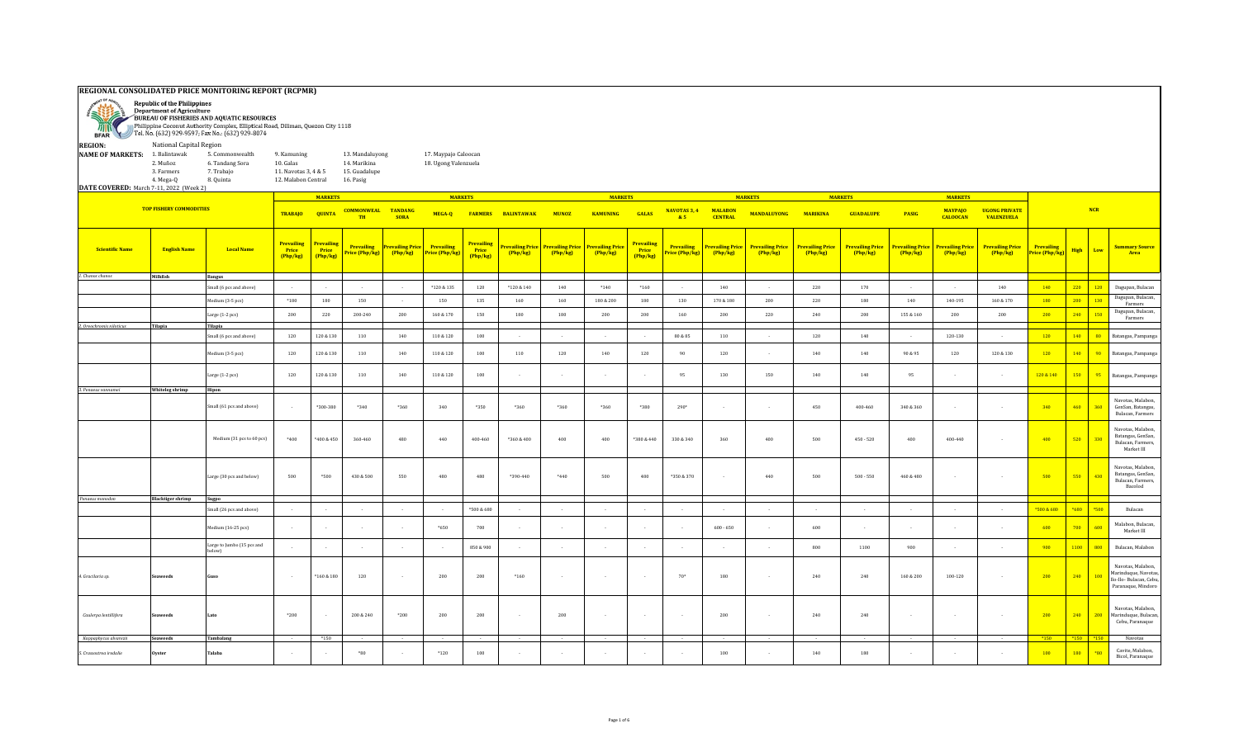## **REGIONAL CONSOLIDATED PRICE MONITORING REPORT (RCPMR)**



Republic of the Philippines<br>Department of Agriculture<br>PBUREAU OF FISHERIES AND AQUATIC RESOURCES<br>Republicance Coconut Authority Complex. Elliptical Road.

Philippine Coconut Authority Complex, Elliptical Road, Diliman, Quezon City 1118 Tel. No. (632) 929-9597; Fax No.: (632) 929-8074 **BFAR REGION:** National Capital Region **NAME OF MARKETS:** 1. Balintawak 5. Commonwealth 9. Kamuning 13. Mandaluyong 17. Maypajo Caloocan<br>2. Muñoz 6. Tandang Sora 10. Galas 14. Marikina 18. Ugong Valenzuela 2. Muñoz 6. Tandang Sora 10. Galas 14. Marikina 18. Ugong Valenzuela 3. Farmers 7. Trabajo 11. Navotas 3, 4 & 5 15. Guadalupe 4. Mega-Q 8. Quinta 12. Malabon Central 16. Pasig **DATE COVERED:** March 7-11, 2022 (Week 2) **MARKETS MARKETS MARKETS MARKETS MARKETS MARKETS TOP FISHERY COMMODITIES MALABON CENTRAL MANDALUYONG MARIKINA GUADALUPE PASIG MAYPAJO UGONG PRIVATE NCR TRABAJO QUINTA COMMONWEAL MUNOZ TANDANG SORA MEGA-Q FARMERS BALINTAWAK KAMUNING NAVOTAS 3, 4 GALAS TH & 5 CALOOCAN VALENZUELA Prevailing Prevailing Prevailing Prevailing Price Prevailing Prevailing Price Prevailing Prevailing Price Prevailing Price Prevailing Price Prevailing Prevailing Price Prevailing Price Prevailing Price Prevailing Price Prevailing Price Prevailing Price Prevailing Price Price (Php/kg) High Low Summary Source Prevailing Scientific Name English Name Local Name Price Price Price Price (Php/kg) Price (Php/kg) (Php/kg) (Php/kg) (Php/kg) (Php/kg) Price (Php/kg) (Php/kg) (Php/kg) (Php/kg) (Php/kg) (Php/kg) (Php/kg) (Php/kg) Area (Php/kg) (Php/kg) (Php/kg) (Php/kg)** *1. Chanos chanos* **Milkfish Bangus** Small (6 pcs and above) | - | - | - | \*120 & 135 | 120 | \*120 & 140 | \*140 | \*160 | - | 140 | - | 220 | 170 | - | - | 140 <mark>| 140 | 220 | 120 |</mark> Dagupan, Bulacan Medium (3-5 pcs) \*180 <sup>180</sup> <sup>150</sup> - <sup>150</sup> <sup>135</sup> <sup>160</sup> <sup>160</sup> 180 & 200 <sup>180</sup> <sup>130</sup> 170 & 180 <sup>200</sup> <sup>220</sup> <sup>180</sup> <sup>140</sup> 140-195 160 & 170 <sup>180</sup> <sup>200</sup> <sup>130</sup> Dagupan, Bulacan, Farmers Large (1-2 pcs) <sup>200</sup> <sup>220</sup> 200-240 <sup>200</sup> 160 & 170 <sup>150</sup> <sup>180</sup> <sup>180</sup> <sup>200</sup> <sup>200</sup> <sup>160</sup> <sup>200</sup> <sup>220</sup> <sup>240</sup> <sup>200</sup> 155 & 160 <sup>200</sup> <sup>200</sup> <sup>200</sup> <sup>240</sup> <sup>150</sup> Dagupan, Bulacan, Farmers *2. Oreochromis niloticus* **Tilapia Tilapia** Small (6 pcs and above) | 120 | 120 & 130 | 110 | 140 | 110 & 120 | 100 | - | - | - | - | 80 & 85 | 110 | - | 120 | 140 | - | 120-130 | - | <mark>120 | 140 | 80 |</mark> Batangas, Pampanga Medium (3-5 pcs) | 120 | 120&130 | 110 | 110&140 | 100 | 110 | 120 | 140 | 120 | 140 | 140 | 900 | 900 | 900 | 900 | 120 | 120 | 140 | 900 | Batangas, Pampanga Large (1-2 pcs) | 120 | 120 & 130 | 110 | 110 | 110 & 120 | 100 | - | - | - | - | - | - | - | 95 | 130 | 150 | 160 | 160 | 95 | - | - | - | <mark>120 & 140 | 150 | 95 |</mark> Batangas, Pampanga *3. Penaeus vannamei* **Whiteleg shrimp Hipon** Navotas, Malabon, Small (61 pcs and above) | - |\*300-380 | \*340 | \*360 | \*360 | \*360 | \*360 | \*360 | \*360 | 290\* | - | - | - | 450 | 340 & 360 | - | - | 340 <mark>| 360 | 460 | 360</mark> | 360 <mark>| 360 | 360 | 360 | 360 | 360 | - | - | 340 | 360 | - | </mark> GenSan, Batangas, Bulacan, Farmers Navotas, Malabon, Batangas, GenSan, Medium (31 pcs to 60 pcs) | \*400 | \*400 & 450 | 360-460 | 480 | 400 | 400 | 400 | 450 \$400 | 450 \$400 | 400 | 450 \$400 | 450 \$30 \$400 | 400 | 450 \$30 \$400 | 450 \$50 | 400 | 450 \$400 | 520 | 400 | 520 | 330 Bulacan, Farmers, Market III Navotas, Malabon, Batangas, GenSan, Large (30 pcs and below) | 500 | \*500 | 430&500 | 550 | 480 | \*390-440 | \*440 | \*300 \*350&370 | - | +440 | 500 | 500 | 500 | 550 | 550 | <mark>430 | - | - | - | 500 | 550 | 430</mark> Bulacan, Farmers, Bacolod  *Penaeus monodon* **Blacktiger shrimp Sugpo** Small (26 pcs and above) │ - │ - │ - │ - │ - │ - │ - │ - │ - │ - │ - │ - │ - │ -500 <mark>& 680 │ \*680 │ \*690 │</mark> Bulacan Medium (16-25 pcs) - - - - \*650 <sup>700</sup> - - - - - 600 - 650 - <sup>600</sup> - - - - <sup>600</sup> <sup>700</sup> <sup>600</sup> Malabon, Bulacan, Market III Large to Jumbo (15 pcs and مستور الله المستقرر المستقرر المستقرر المستقرر المستقرر المستقرر المستقرر المستقرر المستقرر المستقرر المستقرر ال<br>المستقرر المستقرر المستقرر المستقرر المستقرر المستقرر المستقرر المستقرر المستقرر المستقرر المستقرر المستقرر Navotas, Malabon, Marinduque, Navotas, Ilo-Ilo- Bulacan, Cebu, *4. Gracilaria sp.* **Seaweeds Guso** - \*160 & 180 120 - 200 200 \*160 - - - 70\* 180 - 240 240 160 & 200 100-120 - 200 240 100 Paranaque, Mindoro Navotas, Malabon, Marinduque, Bulaca *Caulerpa lentillifera* | Seaweeds |Lato | \*200 | - | 200 & 240 | \*200 | 200 | 200 | 200 | 200 | - | - | - | 200 | 200 | 200 | 210 | 200 | 240 | 200 | 240 | 200 | 240 | 200 | 240 | 200 | 240 | 200 | 240 | 200 | 240 | 200 | Cebu, Paranaque  *Kappaphycus alvarezii* **Seaweeds Tambalang** - \*150 - - - - - - - - - - - - - - - - \*150 \*150 \*150 Navotas *5. Crassostrea iredalie* **Oyster Talaba** - - \*80 - \*120 <sup>100</sup> - - - - - <sup>100</sup> - <sup>140</sup> <sup>180</sup> - - - <sup>100</sup> <sup>180</sup> \*80 Cavite, Malabon,

Bicol, Paranaque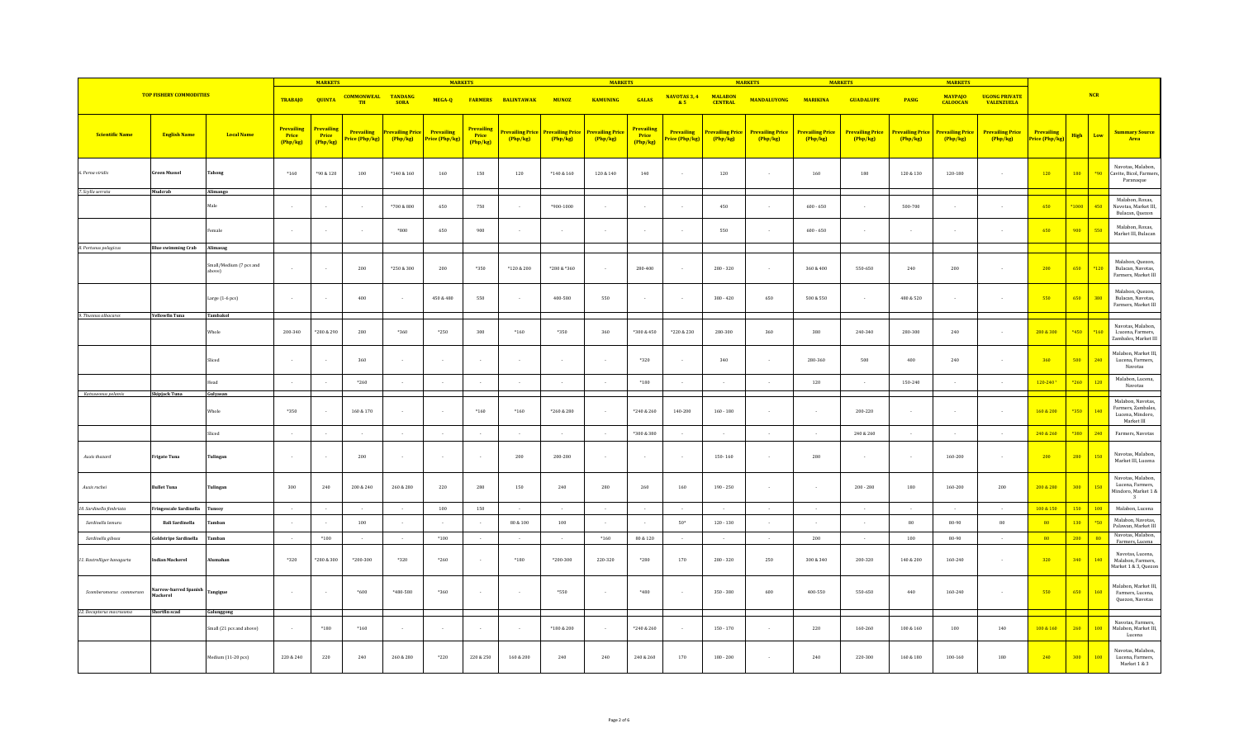|                            |                                   |                                   |                                      | <b>MARKETS</b>                             |                                     |                                     | <b>MARKETS</b>               |                                      |                                     | <b>MARKETS</b> |                                                    |                                        |                              | <b>MARKETS</b>                    |                                   |                                   | <b>MARKETS</b>                    |                |                                             | <b>MARKETS</b>                            |                                     |                    |                                                                                         |
|----------------------------|-----------------------------------|-----------------------------------|--------------------------------------|--------------------------------------------|-------------------------------------|-------------------------------------|------------------------------|--------------------------------------|-------------------------------------|----------------|----------------------------------------------------|----------------------------------------|------------------------------|-----------------------------------|-----------------------------------|-----------------------------------|-----------------------------------|----------------|---------------------------------------------|-------------------------------------------|-------------------------------------|--------------------|-----------------------------------------------------------------------------------------|
|                            | <b>TOP FISHERY COMMODITIES</b>    |                                   | <b>TRABAJO</b>                       | <b>QUINTA</b>                              | <b>COMMONWEAL TANDANG</b><br>TH     | <b>SORA</b>                         | MEGA-Q                       | <b>FARMERS</b>                       | <b>BALINTAWAK</b>                   | <b>MUNOZ</b>   | <b>KAMUNING</b>                                    | <b>GALAS</b>                           | <b>NAVOTAS 3, 4</b><br>& 5   | <b>MALABON</b><br><b>CENTRAL</b>  | <b>MANDALUYONG</b>                | <b>MARIKINA</b>                   | <b>GUADALUPE</b>                  | <b>PASIG</b>   | <b>MAYPAJO</b><br><b>CALOOCAN</b>           | <b>UGONG PRIVATE</b><br><b>VALENZUELA</b> |                                     | NCR                |                                                                                         |
| <b>Scientific Name</b>     | <b>English Name</b>               | <b>Local Name</b>                 | <b>Prevailing</b><br>Price<br>Php/kg | <mark>Prevailing</mark><br>Price<br>Php/kg | <b>Prevailing</b><br>Price (Php/kg) | <b>Prevailing Price</b><br>(Php/kg) | Prevailing<br>Price (Php/kg) | <b>Prevailing</b><br>Price<br>Php/kg | <b>Prevailing Price</b><br>(Php/kg) | Php/kg         | <b>Prevailing Price Prevailing Price</b><br>Php/kg | <b>Prevailing</b><br>Price<br>(Php/kg) | Prevailing<br>Price (Php/kg) | <b>Prevailing Price</b><br>Php/kg | <b>Prevailing Price</b><br>Php/kg | <b>Prevailing Price</b><br>Php/kg | <b>Prevailing Price</b><br>Php/kg | Php/kg         | Prevailing Price Prevailing Price<br>Php/kg | <b>Prevailing Price</b><br>(Php/kg)       | <b>Prevailing</b><br>Price (Php/kg) | <b>High</b><br>Low | <b>Summary Source</b><br>Area                                                           |
| 6. Perna viridis           | Green Mussel                      | Tahong                            | $*160$                               | *90 & 120                                  | 100                                 | $^*140\,\&\,160$                    | $160\,$                      | 150                                  | $120\,$                             | $*140 & 160$   | $120\ \&\ 140$                                     | $140\,$                                |                              | $120\,$                           |                                   | $160\,$                           | 180                               | $120\,\&\,130$ | $120 - 180$                                 |                                           | 120                                 | 180<br>$*90$       | Navotas, Malabon,<br>Cavite, Bicol, Farmers,<br>Paranaque                               |
| 7. Scylla serrata          | Mudcrab                           | Alimango                          |                                      |                                            |                                     |                                     |                              |                                      |                                     |                |                                                    |                                        |                              |                                   |                                   |                                   |                                   |                |                                             |                                           |                                     |                    |                                                                                         |
|                            |                                   | Male                              |                                      | $\sim$                                     |                                     | $*700 & 800$                        | 650                          | 750                                  |                                     | *900-1000      |                                                    | $\sim$                                 |                              | 450                               |                                   | $600 - 650$                       | ÷                                 | 500-700        |                                             |                                           | 650                                 | 450<br>*1000       | Malabon, Roxas,<br>Navotas, Market III<br>Bulacan, Quezon                               |
|                            |                                   | emale                             |                                      | $\sim$                                     |                                     | *800                                | 650                          | 900                                  |                                     | $\sim$         | $\sim$                                             | $\sim$                                 |                              | 550                               |                                   | $600 - 650$                       | $\sim$                            | $\sim$         |                                             |                                           | 650                                 | 900<br>550         | Malabon, Roxas,<br>Market III, Bulacan                                                  |
| 8. Portunus pelagicus      | <b>Blue swimming Crab</b>         | Alimasag                          |                                      |                                            |                                     |                                     |                              |                                      |                                     |                |                                                    |                                        |                              |                                   |                                   |                                   |                                   |                |                                             |                                           |                                     |                    |                                                                                         |
|                            |                                   | Small/Medium (7 pcs and<br>above) |                                      | $\sim$                                     | 200                                 | $*250 & 300$                        | 200                          | $*350$                               | $*120 & 200$                        | *280 & *360    | $\sim$                                             | 280-400                                |                              | $280 - 320$                       |                                   | 360 & 400                         | 550-650                           | $240\,$        | $200\,$                                     |                                           | 200                                 | 650<br>$*120$      | Malabon, Quezon,<br>Bulacan, Navotas,<br>Farmers, Market III                            |
|                            |                                   | Large (1-6 pcs)                   | $\sim$                               | $\sim$                                     | 400                                 | $\sim$                              | 450 & 480                    | 550                                  | $\sim$                              | 400-580        | 550                                                | $\sim$                                 |                              | $380 - 420$                       | 650                               | 500 & 550                         | $\sim$                            | 480 & 520      |                                             |                                           | 550                                 | 650<br>380         | Malabon, Quezon,<br>Bulacan, Navotas,<br>Farmers, Market III                            |
| 9. Thunnus albacares       | <b>Yellowfin Tuna</b>             | Tambakol                          |                                      |                                            |                                     |                                     |                              |                                      |                                     |                |                                                    |                                        |                              |                                   |                                   |                                   |                                   |                |                                             |                                           |                                     |                    |                                                                                         |
|                            |                                   | Whole                             | 200-340                              | *280 & 290                                 | 280                                 | *360                                | $*250$                       | 300                                  | $*160$                              | *350           | 360                                                | $*300 & 450$                           | *220 & 230                   | 280-300                           | 360                               | 380                               | 240-340                           | 280-300        | 240                                         |                                           | 280 & 300                           | *450<br>$*160$     | Navotas, Malabon,<br>L:ucena, Farmers,<br>Zambales, Market III                          |
|                            |                                   | Sliced                            |                                      |                                            | 360                                 |                                     | $\sim$                       |                                      |                                     |                |                                                    | *320                                   |                              | 340                               |                                   | 280-360                           | 500                               | 400            | ${\bf 240}$                                 |                                           | 360                                 | 500<br>240         | Malabon, Market III,<br>Lucena, Farmers,<br>Navotas                                     |
|                            |                                   | lead                              |                                      | $\sim$                                     | $*260$                              |                                     | $\sim$                       |                                      |                                     |                |                                                    | $^{\ast}180$                           |                              |                                   |                                   | 120                               | $\sim$                            | 150-240        |                                             |                                           | $120 - 240$ <sup>+</sup>            | 120<br>$*260$      | Malabon, Lucena,<br>Navotas                                                             |
| Katsuwonus pelamis         | Skipjack Tuna                     | Gulyasan                          |                                      |                                            |                                     |                                     |                              |                                      |                                     |                |                                                    |                                        |                              |                                   |                                   |                                   |                                   |                |                                             |                                           |                                     |                    |                                                                                         |
|                            |                                   | Whole                             | *350                                 |                                            | 160 & 170                           | $\sim$                              | $\sim$                       | $*160$                               | $*160$                              | *260 & 280     | $\sim$                                             | *240 & 260                             | 140-200                      | $160 - 180$                       |                                   | $\sim$                            | 200-220                           |                |                                             |                                           | 160 & 200                           | *350<br>140        | Malabon, Navotas,<br>Farmers, Zambales,<br>Lucena, Mindoro,<br>Market III               |
|                            |                                   | Sliced                            |                                      | $\sim$                                     |                                     |                                     | $\sim$                       |                                      |                                     |                |                                                    | $*300 & 380$                           |                              |                                   |                                   | $\sim$                            | 240 & 260                         |                |                                             |                                           | 240 & 260                           | $*380$<br>240      | Farmers, Navotas                                                                        |
| Auxis thazard              | Frigate Tuna                      | <b>Tulingan</b>                   |                                      | $\sim$                                     | 200                                 | $\sim$                              | $\sim$                       |                                      | $200\,$                             | 200-280        | $\sim$                                             | $\sim$                                 | - 1                          | $150 - 160$                       |                                   | 280                               | $\sim$                            | $\sim$         | 160-200                                     |                                           | 200                                 | 280<br>150         | Navotas, Malabon,<br>Market III, Lucena                                                 |
| Auxis rochei               | <b>Bullet Tuna</b>                | <b>Fulingan</b>                   | 300                                  | 240                                        | 200 & 240                           | 260 & 280                           | 220                          | 280                                  | 150                                 | 240            | 280                                                | 260                                    | 160                          | $190 - 250$                       |                                   | $\sim$                            | $200 - 280$                       | 180            | $160 - 200$                                 | 200                                       | 200 & 280                           | 300<br>150         | Navotas, Malabon,<br>Lucena, Farmers,<br>Mindoro, Market 1 &<br>$\overline{\mathbf{3}}$ |
| 10. Sardinella fimbriata   | Fringescale Sardinella            | Tunsoy                            | $\sim$                               | $\sim$                                     | $\sim$                              | $\sim$                              | 100                          | 150                                  | $\overline{a}$                      | $\sim$         | $\sim$                                             | $\sim$                                 | $\sim$                       | $\sim$                            | $\sim$ 100 $\mu$                  | $\sim$                            | $\sim$                            | $\sim$         | $\sim$                                      | $\sim$                                    | 100 & 150                           | 150<br>$-100$      | Malabon, Lucena                                                                         |
| Sardinella lemuru          | <b>Bali Sardinella</b>            | amban                             |                                      | $\sim$                                     | 100                                 |                                     |                              |                                      | $80\text{ \& }100$                  | 100            |                                                    | $\sim$                                 | $50*$                        | $120 - 130$                       |                                   |                                   | $\sim$                            | $80\,$         | 80-90                                       | 80                                        | 80                                  | 130<br>$*50$       | Malabon, Navotas,<br>Palawan, Market III                                                |
| Sardinella gibosa          | <b>Goldstripe Sardinella</b>      | amban                             | $\sim$                               | $*100$                                     | $\sim$                              | $\sim$                              | $*100$                       | $\sim$                               |                                     | $\sim$         | $*160$                                             | 80 & 120                               | $\sim$                       | $\sim$                            | $\sim$                            | 200                               | $\sim$                            | 100            | 80-90                                       | $\sim$                                    | 80                                  | 200<br>80          | Navotas, Malabon,<br>Farmers, Lucena                                                    |
| 11. Rastrelliger kanagurta | <b>Indian Mackerel</b>            | Alumahan                          | *320                                 | *280 & 300                                 | $*200 - 300$                        | *320                                | $*260$                       |                                      | $^{\ast}180$                        | *200-300       | 220-320                                            | *280                                   | 170                          | $280 - 320$                       | 250                               | 300 & 340                         | 200-320                           | 140 & 200      | 160-240                                     |                                           | 320                                 | 340<br>140         | Navotas, Lucena,<br>Malabon, Farmers,<br>Market 1 & 3, Quezon                           |
| Scomberomorus commersor    | Narrow-barred Spanish<br>Mackerel | angigue                           | $\sim$                               | $\sim$                                     | *600                                | *480-580                            | *360                         |                                      | $\sim$                              | *550           | $\sim$                                             | $*480$                                 | $\sim$                       | $350 - 380$                       | 600                               | 400-550                           | 550-650                           | 440            | 160-240                                     |                                           | 550                                 | 650<br>160         | Malabon, Market III,<br>Farmers, Lucena,<br>Quezon, Navotas                             |
| 12. Decapterus macrosoma   | Shortfin scad                     | Galunggong                        |                                      |                                            |                                     |                                     |                              |                                      |                                     |                |                                                    |                                        |                              |                                   |                                   |                                   |                                   |                |                                             |                                           |                                     |                    |                                                                                         |
|                            |                                   | mall (21 pcs and above)           | $\sim$                               | $^{\ast}180$                               | $*160$                              | $\sim$                              | $\sim$                       |                                      |                                     | $*180 & 200$   | $\sim$                                             | $*240 & 260$                           |                              | $150 - 170$                       |                                   | 220                               | $160 - 260$                       | $100\,\&\,160$ | 100                                         | 140                                       | 100 & 160                           | $-100$<br>260      | Navotas, Farmers,<br>Malabon, Market III<br>Lucena                                      |
|                            |                                   | Medium (11-20 pcs)                | 220 & 240                            | 220                                        | 240                                 | 260 & 280                           | $*220$                       | 220 & 250                            | 160 & 200                           | 240            | 240                                                | 240 & 260                              | 170                          | $180 - 200$                       |                                   | 240                               | 220-300                           | 160 & 180      | $100 - 160$                                 | 180                                       | 240                                 | 300<br>100         | Navotas, Malabon,<br>Lucena, Farmers,<br>Market 1 & 3                                   |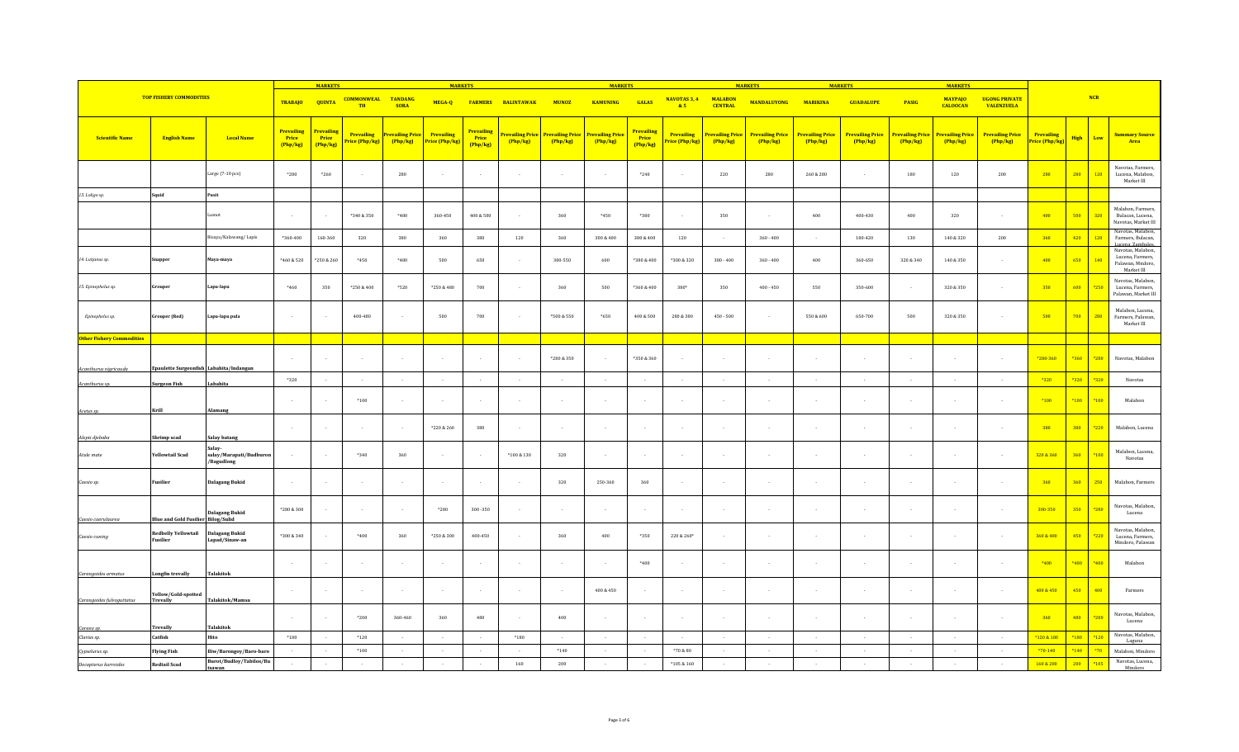|                                  |                                           |                                                                 |                                      | <b>MARKETS</b>                        |                                     |                                     | <b>MARKETS</b>               |                               |                           |                                   | <b>MARKETS</b>                    |                                      |                                          | <b>MARKETS</b>                                                |                                   |                                   | <b>MARKETS</b>                    |                                   |                                   | <b>MARKETS</b>                            |                              |             |        |                                                                                             |
|----------------------------------|-------------------------------------------|-----------------------------------------------------------------|--------------------------------------|---------------------------------------|-------------------------------------|-------------------------------------|------------------------------|-------------------------------|---------------------------|-----------------------------------|-----------------------------------|--------------------------------------|------------------------------------------|---------------------------------------------------------------|-----------------------------------|-----------------------------------|-----------------------------------|-----------------------------------|-----------------------------------|-------------------------------------------|------------------------------|-------------|--------|---------------------------------------------------------------------------------------------|
|                                  | <b>TOP FISHERY COMMODITIES</b>            |                                                                 | <b>TRABAJO</b>                       | <b>QUINTA</b>                         | <b>COMMONWEAL</b><br><b>TH</b>      | <b>TANDANG</b><br><b>SORA</b>       | MEGA-Q<br><b>FARMERS</b>     |                               | <b>BALINTAWAK</b>         | <b>MUNOZ</b>                      | <b>KAMUNING</b>                   | <b>GALAS</b>                         |                                          | <b>NAVOTAS 3, 4</b><br><b>MALABON</b><br><b>CENTRAL</b><br>85 |                                   | <b>MARIKINA</b>                   | <b>GUADALUPE</b>                  | <b>PASIG</b>                      | <b>MAYPAJO</b><br><b>CALOOCAN</b> | <b>UGONG PRIVATE</b><br><b>VALENZUELA</b> |                              |             | NCR    |                                                                                             |
| Scientific Name                  | <b>English Name</b>                       | <b>Local Name</b>                                               | <b>Prevailing</b><br>Price<br>Php/kg | <b>Prevailin</b><br>Price<br>(Php/kg) | <b>Prevailing</b><br>Price (Php/kg) | <b>Prevailing Price</b><br>(Php/kg) | Prevailing<br>Price (Php/kg) | Prevailing<br>Price<br>Php/kg | revailing Price<br>Php/kg | <b>Prevailing Price</b><br>Php/kg | <b>Prevailing Price</b><br>Php/kg | <b>Prevailing</b><br>Price<br>Php/kg | Prevailing<br><mark>rice (Php/kg)</mark> | <b>Prevailing Price</b><br>Php/kg                             | <b>Prevailing Price</b><br>Php/kg | <b>Prevailing Price</b><br>Php/kg | <b>Prevailing Price</b><br>Php/kg | <b>Prevailing Price</b><br>Php/kg | <b>Prevailing Price</b><br>Php/kg | <b>Prevailing Price</b><br>(Php/kg)       | Prevailing<br>Price (Php/kg) | <b>High</b> | Low    | <b>Summary Source</b><br>Area                                                               |
|                                  |                                           | Large (7-10 pcs)                                                | $*280$                               | $*260$                                |                                     | 280                                 | $\sim$                       |                               | . .                       | $\sim$                            | $\sim$                            | $*240$                               |                                          | 220                                                           | 280                               | 260 & 280                         | $\sim$                            | 180                               | 120                               | 200                                       | 280                          | 280         | 120    | Navotas, Farmers,<br>Lucena, Malabon,<br>Market III                                         |
| 13. Loligo sp.                   | Squid                                     | Pusit                                                           |                                      |                                       |                                     |                                     |                              |                               |                           |                                   |                                   |                                      |                                          |                                                               |                                   |                                   |                                   |                                   |                                   |                                           |                              |             |        |                                                                                             |
|                                  |                                           | Lumot                                                           |                                      |                                       | *340 & 350                          | *480                                | 360-450                      | 400 & 500                     |                           | 360                               | *450                              | *380                                 |                                          | 350                                                           |                                   | 400                               | 400-430                           | 400                               | 320                               |                                           | 400                          | 500         | 320    | Malabon, Farmers,<br>Bulacan, Lucena,<br>Navotas, Market III                                |
|                                  |                                           | Bisaya/Kalawang/Lapis                                           | *360-400                             | 160-360                               | 320                                 | 380                                 | 360                          | 380                           | 120                       | 360                               | 300 & 400                         | 380 & 400                            | 120                                      |                                                               | $360 - 400$                       | $\sim$                            | 180-420                           | 130                               | 140 & 320                         | 200                                       | 360                          | 420         | 120    | Navotas, Malabon,<br>Farmers, Bulacan,                                                      |
| 14. Lutjanus sp.                 | Snapper                                   | Maya-maya                                                       | *460 & 520                           | *250 & 260                            | *450                                | *480                                | 500                          | 650                           |                           | 300-550                           | 600                               | $*380 & 400$                         | *300 & 320                               | $380 - 400$                                                   | $360 - 400$                       | $400\,$                           | 360-650                           | 320 & 340                         | 140 & 350                         |                                           | 400                          | 650         | 140    | Lucena, Zambales<br>Navotas, Malabon,<br>Lucena, Farmers,<br>Palawan, Mndoro,<br>Market III |
| 15. Epinephelus sp.              | Grouper                                   | Lapu-lapu                                                       | *460                                 | 350                                   | *250 & 400                          | *520                                | *250 & 480                   | 700                           |                           | 360                               | 500                               | *360 & 400                           | $380*$                                   | 350                                                           | $400 - 450$                       | 550                               | 350-600                           | . .                               | 320 & 350                         |                                           | 350                          | 600         | *250   | Navotas, Malabon,<br>Lucena, Farmers,<br>Palawan, Market III                                |
| Epinephelus sp.                  | <b>Grouper</b> (Red)                      | Lapu-lapu pula                                                  |                                      | $\sim$                                | 400-480                             | $\sim$                              | 500                          | 700                           | $\sim$                    | *500 & 550                        | *650                              | 400 & 500                            | 280 & 380                                | $450 - 500$                                                   | $\sim$                            | 550 & 600                         | 650-700                           | 500                               | 320 & 350                         |                                           | 500                          | 700         | 280    | Malabon, Lucena,<br>Farmers, Palawan,<br>Market III                                         |
| <b>Other Fishery Commodities</b> |                                           |                                                                 |                                      |                                       |                                     |                                     |                              |                               |                           |                                   |                                   |                                      |                                          |                                                               |                                   |                                   |                                   |                                   |                                   |                                           |                              |             |        |                                                                                             |
| Acanthurus nigricauda            | Epaulette Surgeonfish Labahita/Indangan   |                                                                 |                                      | $\sim$                                |                                     | $\sim$                              | $\sim$                       |                               |                           | *280 & 350                        | $\sim$                            | *350 & 360                           |                                          |                                                               |                                   | $\sim$                            |                                   |                                   |                                   |                                           | *280-360                     | *360        | *280   | Navotas, Malabon                                                                            |
|                                  |                                           |                                                                 | *320                                 | $\sim$                                |                                     | $\sim$                              | $\sim$                       |                               | $\sim$                    | $\sim$                            | $\sim$                            | $\sim$                               | $\overline{\phantom{a}}$                 |                                                               | $\sim$                            | $\sim$                            |                                   |                                   |                                   |                                           | $*320$                       | $*320$      | *320   | Navotas                                                                                     |
| Acanthurus sp.                   | <b>Surgeon Fish</b>                       | Labahita                                                        |                                      | $\cdot$                               | $*100$                              | $\sim$                              | $\sim$                       |                               |                           | $\sim$                            | $\sim$                            | $\sim$                               |                                          |                                                               |                                   | $\overline{a}$                    |                                   |                                   |                                   |                                           | $*100$                       | $*100$      | $*100$ | Malabon                                                                                     |
| Acetes sp.                       | Krill                                     | Alamang                                                         |                                      | $\sim$                                |                                     | $\sim$                              | *220 & 260                   | 380                           |                           | - 11                              | $\sim$                            | $\sim$                               |                                          |                                                               |                                   | $\sim$                            |                                   |                                   |                                   |                                           | 380                          | 380         | *220   | Malabon, Lucena                                                                             |
| Alepis djebaba<br>Atule mate     | Shrimp scad<br><b>Yellowtail Scad</b>     | Salay batang<br>Salay-<br>salay/Marapati/Budburon<br>/Bagudlong |                                      | $\sim$                                | $*340$                              | 360                                 | $\sim$                       |                               | $*100 & 130$              | 320                               | $\sim$                            | $\sim$                               |                                          |                                                               |                                   | $\sim$                            |                                   |                                   |                                   |                                           | 320 & 360                    | 360         | $*100$ | Malabon, Lucena,<br>Navotas                                                                 |
| Caesio sp.                       | Fusilier                                  | <b>Dalagang Bukid</b>                                           |                                      | $\sim$                                |                                     | $\sim$                              | $\sim$                       |                               | $\sim$                    | 320                               | 250-360                           | 360                                  |                                          |                                                               |                                   | $\sim$                            |                                   |                                   |                                   |                                           | 360                          | 360         | 250    | Malabon, Farmers                                                                            |
| Caesio caerulaure                | <b>Blue and Gold Fusilier Bilog/Sulid</b> | <b>Dalagang Bukid</b>                                           | $*280 & 300$                         | $\sim$                                |                                     | $\sim$                              | $*280$                       | 300-350                       |                           | $\sim$                            | $\sim$                            | $\overline{\phantom{a}}$             |                                          |                                                               |                                   | $\sim$                            | $\sim$                            |                                   |                                   |                                           | 300-350                      | 350         | *280   | Navotas, Malabon,<br>Lucena                                                                 |
| Caesio cuning                    | <b>Redbelly Yellowtail</b><br>Fusilier    | <b>Dalagang Bukid</b><br>Lapad/Sinaw-an                         | $*300 & 340$                         | $\sim$                                | $*400$                              | 360                                 | *250 & 300                   | 400-450                       |                           | 360                               | 400                               | $*350$                               | 220 & 260*                               |                                                               |                                   | $\sim$                            |                                   |                                   |                                   |                                           | 360 & 400                    | 450         | $*220$ | Navotas, Malabon,<br>Lucena, Farmers,<br>Mindoro, Palawan                                   |
| Carangoides armatus              | Longfin trevally                          | <b>Talakitok</b>                                                |                                      | $\cdot$                               |                                     | $\sim$                              |                              |                               |                           |                                   | $\sim$                            | $*400$                               |                                          |                                                               |                                   |                                   |                                   |                                   |                                   |                                           | *400                         | $*400$      | $*400$ | Malabon                                                                                     |
| Carangoides fulvoguttatus        | Yellow/Gold-spotted<br>Trevally           | Talakitok/Mamsa                                                 |                                      | $\cdot$                               |                                     | $\sim$                              | $\sim$                       |                               | $\sim$                    | $\sim$                            | 400 & 450                         | $\sim$                               |                                          |                                                               |                                   | $\sim$                            |                                   |                                   |                                   |                                           | 400 & 450                    | 450         | 400    | Farmers                                                                                     |
| Caranx sp.                       | Trevally                                  | <b>Talakitok</b>                                                | $\sim$                               | $\sim$                                | *200                                | 360-460                             | 360                          | 480                           |                           | 400                               | $\sim$                            | $\sim$                               |                                          |                                                               |                                   | $\sim$                            | $\sim$                            | $\sim$                            |                                   |                                           | 360                          | 480         | *200   | Navotas, Malabon,<br>Lucena                                                                 |
| Clarias sp.                      | Catfish                                   | Hito                                                            | $*180$                               | $\sim 10^{-1}$                        | $*120$                              | $\sim 10^{-1}$                      | $\sim 10^{-1}$               | $\sim$                        | $*180$                    | $\sim$                            | $\sim 100$                        | $\sim 10^{-1}$                       | $\sim$                                   | $\sim$                                                        | $\sim 10^{-1}$                    | $\sim$                            | $\sim 10^{-1}$                    | $\sim 10^{-1}$                    | $\sim$ $\sim$                     | $\sim 10^{-1}$                            | *120 & 180                   | $*180$      | $*120$ | Navotas, Malabon,<br>Laguna                                                                 |
| Cypselurus sp.                   | <b>Flying Fish</b>                        | Iliw/Barongoy/Baro-baro                                         |                                      | $\sim$                                | $*100$                              | $\sim$                              | $\sim$                       | $\sim$                        | $\sim$                    | $*140$                            | $\sim$                            | $\sim$                               | $^{\ast}70$ & 80                         |                                                               | $\sim$                            | $\sim$                            | $\sim$                            | $\sim$                            |                                   |                                           | $*70-140$                    | *140        | $*70$  | Malabon, Mindoro                                                                            |
| Decapterus kurroides             | <b>Redtail Scad</b>                       | <b>Burot/Budloy/Tabilos/Bu</b><br>tsawan                        | $\sim$                               | $\epsilon$                            |                                     |                                     |                              |                               | 160                       | 200                               |                                   |                                      | $*105 & 160$                             |                                                               |                                   |                                   |                                   |                                   |                                   |                                           | 160 & 200                    | 200         | $*105$ | Navotas, Lucena,<br>Mindoro                                                                 |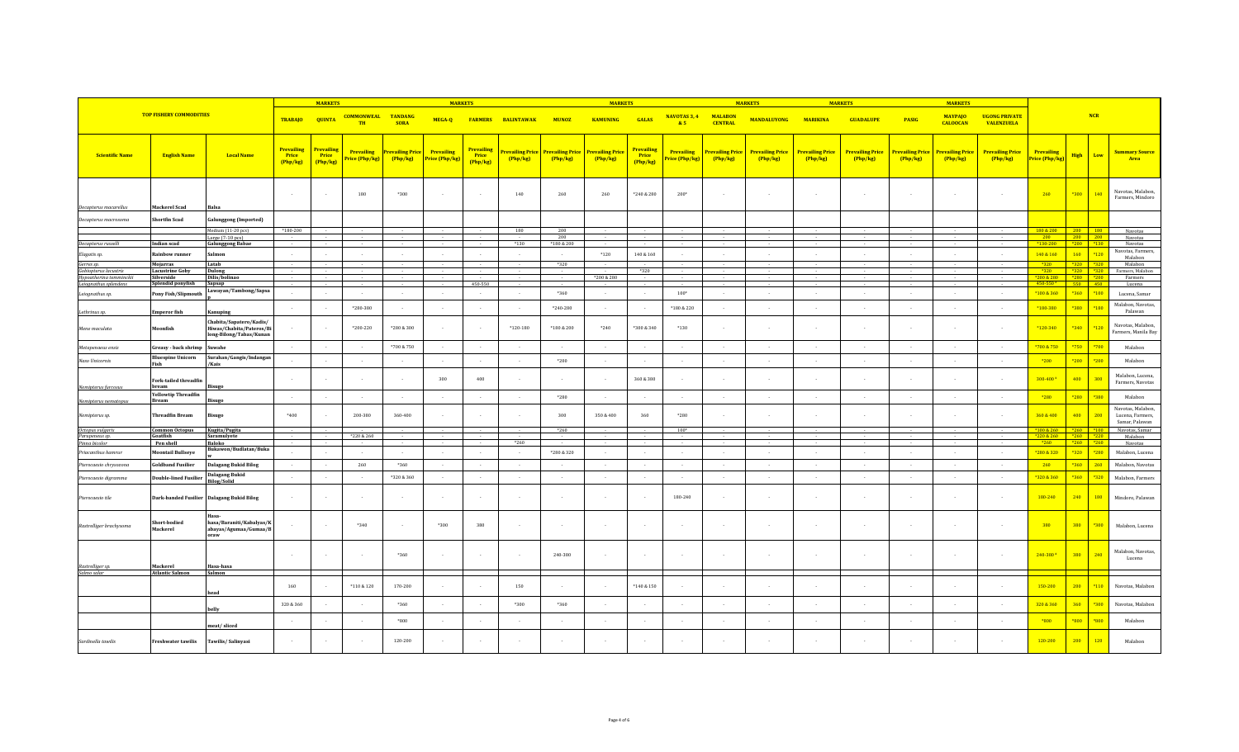|                                     |                                            |                                                                                | <b>MARKETS</b>                         |                                 |                                | <b>MARKETS</b>                        |                              |                                             |                                   | <b>MARKETS</b>                   |                            |                                      |                                     | <b>MARKETS</b>                    |                                   | <b>MARKET</b>                     |                                   |                            | <b>MARKETS</b>                    |                                           |                                     |                                |        |                                                         |
|-------------------------------------|--------------------------------------------|--------------------------------------------------------------------------------|----------------------------------------|---------------------------------|--------------------------------|---------------------------------------|------------------------------|---------------------------------------------|-----------------------------------|----------------------------------|----------------------------|--------------------------------------|-------------------------------------|-----------------------------------|-----------------------------------|-----------------------------------|-----------------------------------|----------------------------|-----------------------------------|-------------------------------------------|-------------------------------------|--------------------------------|--------|---------------------------------------------------------|
| <b>TOP FISHERY COMMODITIES</b>      |                                            |                                                                                | <b>TRABAJO</b>                         | <b>QUINTA</b>                   | <b>COMMONWEAL</b><br><b>TH</b> | <b>TANDANG</b><br><b>SORA</b>         | MEGA-Q                       |                                             | <b>FARMERS BALINTAWAK</b>         | <b>MUNOZ</b>                     | <b>KAMUNING</b>            | <b>GALAS</b>                         | <b>NAVOTAS 3, 4</b><br>85           | <b>MALABON</b><br><b>CENTRAL</b>  | <b>MANDALUYONG</b>                | <b>MARIKINA</b>                   | <b>GUADALUPE</b>                  | <b>PASIG</b>               | <b>MAYPAJO</b><br><b>CALOOCAN</b> | <b>UGONG PRIVATE</b><br><b>VALENZUELA</b> |                                     | NCR                            |        |                                                         |
| <b>Scientific Name</b>              | <b>English Name</b>                        | <b>Local Name</b>                                                              | <b>Prevailing</b><br>Price<br>(Php/kg) | Prevailing<br>Price<br>(Php/kg) | Prevailing<br>Price (Php/kg)   | <mark>revailing Pric</mark><br>Php/kg | Prevailing<br>Price (Php/kg) | <b>Prevailing</b><br><b>Price</b><br>Php/kg | <b>Prevailing Price</b><br>Php/kg | <b>revailing Price</b><br>Php/kg | Prevailing Price<br>Php/kg | <b>Prevailing</b><br>Price<br>Php/kg | <b>Prevailing</b><br>Price (Php/kg) | <b>Prevailing Price</b><br>Php/kg | <b>Prevailing Price</b><br>Php/kg | <b>Prevailing Price</b><br>Php/kg | <b>Prevailing Price</b><br>Php/kg | Prevailing Price<br>Php/kg | <b>Prevailing Price</b><br>Php/kg | <b>Prevailing Price</b><br>Php/kg         | <b>Prevailing</b><br>Price (Php/kg) | <b>High</b>                    | Low    | <b>Summary Source</b><br>Area                           |
|                                     |                                            |                                                                                | $\sim$                                 |                                 | 180                            | *300                                  |                              |                                             | 140                               | 260                              | 260                        | *240 & 280                           | $200*$                              |                                   |                                   |                                   |                                   |                            |                                   |                                           | 260                                 | *300                           | 140    | Navotas, Malabon,<br>Farmers, Mindoro                   |
| Decapterus macarellus               | Mackerel Scad<br>hortfin Scad              | <b>Balsa</b>                                                                   |                                        |                                 |                                |                                       |                              |                                             |                                   |                                  |                            |                                      |                                     |                                   |                                   |                                   |                                   |                            |                                   |                                           |                                     |                                |        |                                                         |
| Decapterus macrosoma                |                                            | <b>Galunggong (Imported)</b><br>Medium (11-20 pcs)                             | *180-200                               |                                 |                                |                                       |                              |                                             | 180                               | 200                              |                            |                                      |                                     |                                   |                                   |                                   |                                   |                            |                                   |                                           | 180 & 200                           | 200 180                        |        | Navotas                                                 |
|                                     |                                            | Large (7-10 pcs)                                                               |                                        |                                 |                                |                                       |                              |                                             | $*130$                            | 200                              |                            |                                      |                                     |                                   |                                   |                                   |                                   |                            |                                   |                                           | 200<br>$*130 - 200$                 | 200<br>$*200$ $*130$           | 200    | Navotas                                                 |
| Decapterus russelli                 | Indian scad                                | <b>Galunggong Babae</b>                                                        |                                        |                                 |                                |                                       |                              |                                             |                                   | *180 & 200                       |                            |                                      |                                     |                                   |                                   |                                   | $\sim$                            |                            |                                   |                                           |                                     |                                |        | Navotas<br>Navotas, Farmers                             |
| Elagatis sp.                        | Rainbow runner                             | Salmon                                                                         | $\sim$                                 |                                 |                                | $\sim$                                |                              |                                             |                                   | $\sim$                           | $*120$                     | 140 & 160                            |                                     |                                   |                                   |                                   | $\sim$                            |                            |                                   |                                           | 140 & 160                           | 160                            | $*120$ | Malabon                                                 |
| Gerres sp.<br>Gobiopterus lacustris | Mojarras<br><b>Lacustrine Goby</b>         | Latab<br><b>Dulong</b>                                                         |                                        |                                 |                                |                                       |                              |                                             |                                   | *320                             |                            | *320                                 |                                     |                                   |                                   |                                   |                                   |                            |                                   |                                           | $*320$<br>$*320$                    | $*320$ $*321$<br>*320 *320     |        | Malabon<br>Farmers, Malabor                             |
| Hypoatherina temminckii             | Silverside                                 | Dilis/bolinao                                                                  |                                        |                                 |                                |                                       |                              |                                             |                                   |                                  | *200 & 280                 |                                      |                                     |                                   |                                   |                                   |                                   |                            |                                   |                                           | 200 & 280                           |                                |        | Farmers                                                 |
| Leiognathus splendens               | Splendid ponyfish                          | Sapsap<br>Lawayan/Tambong/Sapsa                                                |                                        |                                 |                                |                                       |                              | 450-550                                     |                                   |                                  |                            |                                      |                                     |                                   |                                   |                                   |                                   |                            |                                   |                                           | 450-550 $2$                         | 550 450                        |        | Lucena                                                  |
| Leiognathus sp.                     | Pony Fish/Slipmouth                        |                                                                                |                                        |                                 |                                | $\sim$                                | $\sim$                       | $\sim$                                      | $\overline{\phantom{a}}$          | *360                             | $\sim$                     | $\sim$                               | $100*$                              |                                   | $\sim$                            | $\sim$                            | $\sim$                            | $\sim$                     |                                   |                                           | *100 & 360                          | $*360$                         | $*100$ | Lucena, Samar                                           |
| Lethrinus sp.                       | <b>Emperor</b> fish                        | Kanuping                                                                       | $\sim$                                 |                                 | $*280 - 380$                   | $\sim$                                | $\sim$                       |                                             | $\overline{\phantom{a}}$          | $*240 - 280$                     | $\sim$                     | $\sim$                               | $*180 & 220$                        |                                   |                                   | $\sim$                            | $\sim$                            |                            |                                   |                                           | *180-380                            | *380                           | $*180$ | Malabon, Navotas,<br>Palawan                            |
| Mene maculata                       | Moonfish                                   | Chabita/Sapatero/Kadis/<br>Hiwas/Chabita/Pateros/Bi<br>long-Bilong/Tabas/Kunan |                                        |                                 | $*200 - 220$                   | $*280 & 300$                          |                              |                                             | $*120 - 180$                      | $*180 & 200$                     | $*240$                     | *300 & 340                           | $*130$                              |                                   |                                   |                                   |                                   |                            |                                   |                                           | *120-340                            | $*340$                         | $*120$ | Navotas, Malabon,<br>Farmers, Manila Bay                |
| Metapenaeus ensis                   | Greasy - back shrimp                       | Suwahe                                                                         | $\sim$                                 |                                 |                                | *700 & 750                            | $\sim$                       |                                             | $\sim$                            | $\sim$                           | $\sim$                     | $\sim$                               |                                     |                                   | $\sim$                            | $\sim$                            | $\sim$                            | $\sim$                     | $\sim$                            |                                           | *700 & 750                          | *750                           | $*700$ | Malabon                                                 |
| Naso Unicornis                      | <b>Bluespine Unicorn</b><br>Fish           | Surahan/Gangis/Indangan<br>/Kais                                               | $\sim$                                 |                                 |                                | $\sim$                                | $\sim$                       |                                             | $\overline{\phantom{a}}$          | *200                             | $\sim$                     | $\sim$                               | $\overline{\phantom{a}}$            |                                   | $\sim$                            | $\sim$                            | $\sim$                            | $\sim$                     | $\overline{\phantom{a}}$          | $\sim$                                    | $*200$                              | $*200$                         | $*200$ | Malabon                                                 |
| Nemipterus furcosus                 | Fork-tailed threadfin<br>bream             | <b>Bisugo</b>                                                                  | $\sim$                                 |                                 |                                | $\sim$                                | 300                          | 400                                         |                                   |                                  | $\sim$                     | 360 & 380                            |                                     |                                   |                                   |                                   |                                   |                            |                                   |                                           | 300-400 <sup>3</sup>                | 400                            | 300    | Malabon, Lucena.<br>Farmers, Navotas                    |
| Nemipterus nematopus                | <b>Yellowtip Threadfin</b><br><b>Bream</b> | <b>Bisugo</b>                                                                  |                                        |                                 |                                |                                       | $\sim$                       |                                             |                                   | *280                             | $\sim$                     | $\sim$                               |                                     |                                   | $\sim$                            |                                   | $\sim$                            |                            |                                   |                                           | $*280$                              | $*280$                         | *380   | Malabon                                                 |
| Nemipterus sp.                      | <b>Threadfin Bream</b>                     | <b>Bisugo</b>                                                                  | *400                                   |                                 | 200-380                        | 360-400                               |                              |                                             |                                   | 300                              | 350 & 400                  | 360                                  | *280                                |                                   |                                   |                                   |                                   |                            |                                   |                                           | 360 & 400                           | 400                            | 200    | Navotas, Malabon,<br>Lucena, Farmers,<br>Samar, Palawan |
| Octopus vulgaris                    | <b>Common Octopus</b>                      | Kugita/Pugita                                                                  |                                        |                                 |                                |                                       |                              |                                             |                                   | $*260$                           |                            |                                      | $100*$                              |                                   |                                   |                                   |                                   |                            |                                   |                                           | $*100 & 260$                        | $ $ *260 $ $ *100              |        | Navotas, Samar                                          |
| Parupeneus sp.<br>Pinna bicolor     | Goatfish<br>Pen shel                       | Saramulyete<br><b>Baloko</b>                                                   |                                        |                                 | *220 & 260                     |                                       |                              |                                             | *260                              |                                  |                            |                                      |                                     |                                   |                                   |                                   |                                   |                            |                                   |                                           | *220 & 260<br>$*260$                | $*260$ $*220$<br>$*260$ $*260$ |        | Malabon<br>Navotas                                      |
| Priacanthus hamrui                  | <b>Moontail Bullseye</b>                   | Bukawon/Budlatan/Buka                                                          |                                        |                                 |                                |                                       | $\sim$                       |                                             |                                   | $^*280\ \&\ 320$                 | in 19                      | $\sim$                               |                                     |                                   |                                   |                                   | $\sim$                            | i.                         |                                   |                                           | *280 & 320                          | $*320$                         | $*280$ | Malabon, Lucena                                         |
| Pterocaesio chrysozona              | <b>Goldband Fusilier</b>                   | <b>Dalagang Bukid Bilog</b>                                                    | $\sim$                                 | $\sim$                          | 260                            | $*360$                                | $\sim$                       | $\sim$                                      | $\sim$                            | $\sim$                           | $\sim$                     | $\sim$                               | $\overline{\phantom{a}}$            | $\sim$                            | $\sim$                            | $\sim$                            | $\sim$                            | $\sim$                     | $\sim$                            |                                           | 260                                 | *360                           | 260    | Malabon, Navotas                                        |
| Pterocaesio digramma                | ouble-lined Fusilier                       | <b>Dalagang Bukid</b><br><b>Bilog/Solid</b>                                    | $\sim$                                 |                                 |                                | *320 & 360                            | $\sim$                       |                                             | $\sim$                            | $\sim$                           | $\sim$                     | $\sim$                               | $\overline{\phantom{a}}$            |                                   | $\sim$                            |                                   | $\sim$                            | $\sim$                     |                                   |                                           | *320 & 360                          | *360                           | *320   | Malabon, Farmers                                        |
| Pterocaesio tile                    |                                            | Dark-banded Fusilier Dalagang Bukid Bilog                                      |                                        |                                 |                                | $\sim$                                | $\sim$                       |                                             | $\sim$                            |                                  | $\sim$                     | $\sim$                               | 180-240                             |                                   |                                   |                                   |                                   |                            |                                   |                                           | 180-240                             | 240                            | 180    | Mindoro, Palawan                                        |
| Rastrelliger brachysoma             | Short-bodied<br>Mackerel                   | Hasa-<br>hasa/Baraniti/Kabalyas/K<br>abayas/Agumaa/Gumaa/B<br>oraw             |                                        |                                 | *340                           | $\sim$                                | *300                         | 380                                         | $\overline{\phantom{a}}$          |                                  | $\sim$                     | $\sim$                               |                                     |                                   |                                   |                                   |                                   |                            |                                   |                                           | 380                                 | 380                            | *300   | Malabon, Lucena                                         |
| Rastrelliger sp.                    | Mackerel                                   | Hasa-hasa                                                                      | $\sim$                                 |                                 |                                | *360                                  | $\sim$                       |                                             | $\sim$                            | 240-380                          | $\sim$                     | $\sim$                               |                                     |                                   |                                   |                                   |                                   |                            |                                   |                                           | 240-3804                            | 380                            | 240    | Malabon, Navotas,<br>Lucena                             |
| Salmo salar                         | <b>Atlantic Salmon</b>                     | Salmon                                                                         |                                        |                                 |                                |                                       |                              |                                             |                                   |                                  |                            |                                      |                                     |                                   |                                   |                                   |                                   |                            |                                   |                                           |                                     |                                |        |                                                         |
|                                     |                                            | head                                                                           | 160                                    |                                 | *110 & 120                     | 170-200                               |                              |                                             | 150                               |                                  |                            | *140 & 150                           |                                     |                                   |                                   |                                   |                                   |                            |                                   |                                           | 150-200                             | 200                            | $*110$ | Navotas, Malabon                                        |
|                                     |                                            | belly                                                                          | 320 & 360                              |                                 |                                | *360                                  |                              |                                             | *300                              | $*360$                           |                            |                                      |                                     |                                   |                                   |                                   |                                   |                            |                                   |                                           | 320 & 360                           | 360                            | *300   | Navotas, Malabon                                        |
|                                     |                                            | meat/sliced                                                                    |                                        |                                 |                                | *800                                  |                              |                                             | $\overline{\phantom{a}}$          |                                  | $\cdot$                    | $\sim$                               |                                     |                                   |                                   |                                   |                                   |                            |                                   |                                           | *800                                | *800                           | $*800$ | Malabon                                                 |
| Sardinella tawilis                  | <b>Freshwater tawilis</b>                  | Tawilis/Salinyasi                                                              | $\sim$                                 |                                 |                                | 120-200                               |                              |                                             |                                   |                                  |                            |                                      |                                     |                                   |                                   |                                   |                                   |                            |                                   |                                           | 120-200                             | 200                            | 120    | Malabon                                                 |
|                                     |                                            |                                                                                |                                        |                                 |                                |                                       |                              |                                             |                                   |                                  |                            |                                      |                                     |                                   |                                   |                                   |                                   |                            |                                   |                                           |                                     |                                |        |                                                         |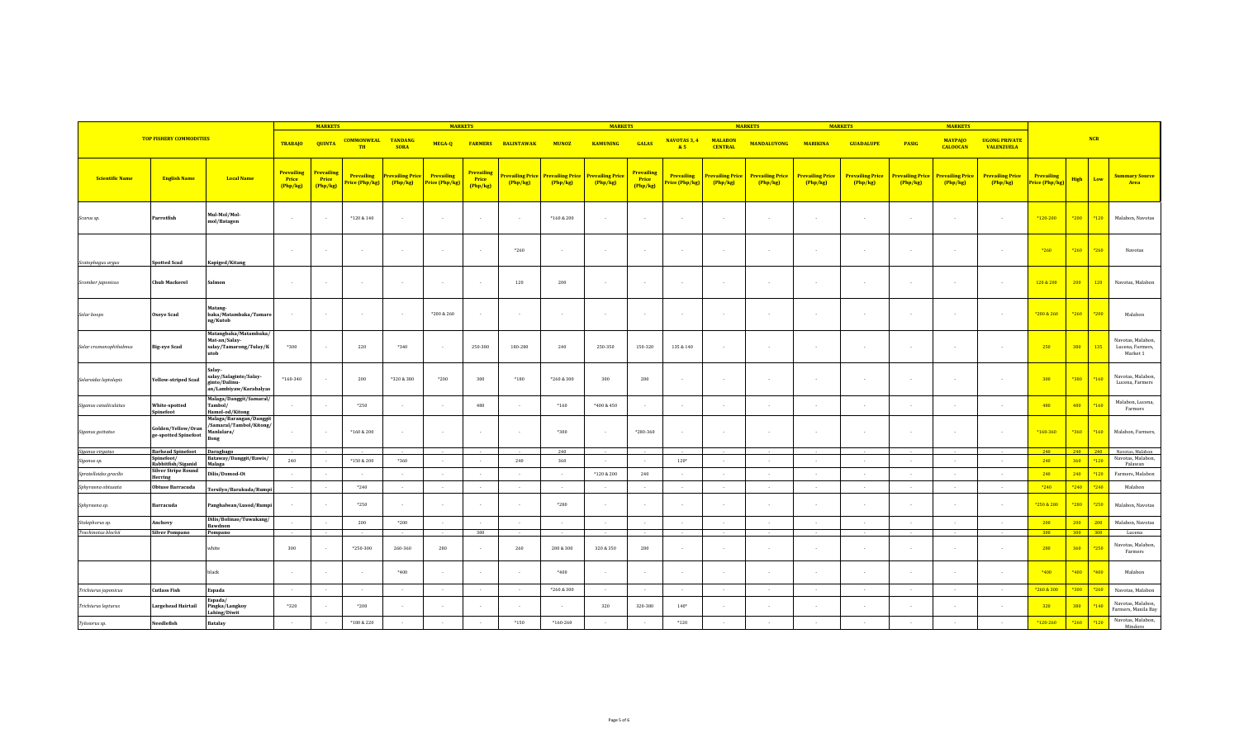|                        |                                                  |                                                                                   | <b>MARKETS</b>                              |                                      |                                | <b>MARKETS</b>                                            |                  |                                      |                           | <b>MARKETS</b> |                                                                    |                                      | <b>MARKETS</b>                      |                                   |                                   | <b>MARKETS</b>                    | <b>MARKETS</b>                    |                                   |                                   |                                           |                                     |             |            |                                                   |
|------------------------|--------------------------------------------------|-----------------------------------------------------------------------------------|---------------------------------------------|--------------------------------------|--------------------------------|-----------------------------------------------------------|------------------|--------------------------------------|---------------------------|----------------|--------------------------------------------------------------------|--------------------------------------|-------------------------------------|-----------------------------------|-----------------------------------|-----------------------------------|-----------------------------------|-----------------------------------|-----------------------------------|-------------------------------------------|-------------------------------------|-------------|------------|---------------------------------------------------|
|                        | <b>TOP FISHERY COMMODITIES</b>                   |                                                                                   | <b>TRABAJO</b>                              | <b>QUINTA</b>                        | <b>COMMONWEAL</b><br><b>TH</b> | <b>TANDANG</b><br><b>SORA</b>                             | MEGA-Q           |                                      | <b>FARMERS BALINTAWAK</b> | <b>MUNOZ</b>   | <b>KAMUNING</b>                                                    | <b>GALAS</b>                         | <b>NAVOTAS 3, 4</b><br>85           | <b>MALABON</b><br><b>CENTRAL</b>  | <b>MANDALUYONG</b>                | <b>MARIKINA</b>                   | <b>GUADALUPE</b>                  | <b>PASIG</b>                      | <b>MAYPAJO</b><br><b>CALOOCAN</b> | <b>UGONG PRIVATE</b><br><b>VALENZUELA</b> |                                     |             | <b>NCR</b> |                                                   |
| <b>Scientific Name</b> | <b>English Name</b>                              | <b>Local Name</b>                                                                 | <b>Prevailing</b><br><b>Price</b><br>Php/kg | Prevailing<br><b>Price</b><br>Php/kg | <b>Price (Php/kg)</b>          | <b>Prevailing Prevailing Price Prevailing</b><br>(Php/kg) | Price (Php/kg)   | <b>Prevailing</b><br>Price<br>Php/kg | Php/kg                    | Php/kg         | Prevailing Price   Prevailing Price   Prevailing Price<br>(Php/kg) | <b>Prevailing</b><br>Price<br>Php/kg | <b>Prevailing</b><br>Price (Php/kg) | <b>Prevailing Price</b><br>Php/kg | <b>Prevailing Price</b><br>Php/kg | <b>Prevailing Price</b><br>Php/kg | <b>Prevailing Price</b><br>Php/kg | <b>Prevailing Price</b><br>Php/kg | <b>Prevailing Price</b><br>Php/kg | <b>Prevailing Price</b><br>Php/kg         | <b>Prevailing</b><br>Price (Php/kg) | <b>High</b> | Low        | <b>Summary Source</b><br>Area                     |
| Scarus sp.             | Parrotfish                                       | Mul-Mol/Mol-<br>mol/Batagon                                                       | $\sim$                                      |                                      | $*120 & 140$                   | $\sim$                                                    | $\sim$ 100 $\mu$ | - 11                                 | $\sim$ 100 $\mu$          | $*160 & 200$   | $\sim$                                                             | $\sim$                               | $\sim$                              | $\sim$                            |                                   | $\sim$                            | $\sim$                            | $\sim$                            | $\overline{a}$                    | $\sim$                                    | *120-200                            | $*200$      | $*120$     | Malabon, Navotas                                  |
| Scatophagus argus      | <b>Spotted Scad</b>                              | Kapiged/Kitang                                                                    | $\sim$                                      |                                      | $\sim$                         | $\sim$                                                    | $\sim$           | $\sim$                               | $*260$                    | $\sim$         | $\sim$                                                             | $\sim$                               |                                     | $\sim$                            |                                   | $\overline{a}$                    | $\sim$                            | $\sim$                            | $\overline{a}$                    | $\sim$                                    | $*260$                              | *260        | *260       | Navotas                                           |
| Scomber japonicus      | <b>Chub Mackerel</b>                             | Salmon                                                                            | $\sim$                                      |                                      | $\sim$                         | $\sim$                                                    | $\sim$           |                                      | 120                       | 200            | $\sim$                                                             |                                      |                                     | $\sim$                            |                                   |                                   | $\sim$                            | $\sim$                            | $\sim$                            |                                           | 120 & 200                           | 200         | 120        | Navotas, Malabon                                  |
| Selar boops            | Oxeye Scad                                       | Matang-<br>baka/Matambaka/Tamaro<br>ng/Kutob                                      |                                             |                                      | $\sim$                         | $\sim$                                                    | *200 & 260       | $\sim$                               | $\sim$                    | $\sim$         | $\sim$                                                             | $\sim$                               |                                     | $\sim$                            |                                   |                                   | $\sim$                            | $\sim$                            | $\sim$                            |                                           | *200 & 260                          | $*260$      | *200       | Malabon                                           |
| Selar crumenophthalmus | <b>Big-eye Scad</b>                              | Matangbaka/Matambaka/<br>Mat-an/Salay-<br>salay/Tamarong/Tulay/K<br>utob          | *300                                        |                                      | 220                            | *340                                                      | $\sim$           | 250-380                              | 180-280                   | 240            | 250-350                                                            | 150-320                              | 135 & 140                           | $\sim$                            |                                   |                                   | $\sim$                            | $\sim$                            | $\cdot$                           |                                           | 250                                 | 380         | 135        | Navotas, Malabon,<br>Lucena, Farmers,<br>Market 1 |
| Selaroides leptolepis  | <b>Yellow-striped Scad</b>                       | <b>Salav</b><br>salay/Salaginto/Salay-<br>ginto/Dalinu-<br>an/Lambiyaw/Karabalyas | $*160 - 340$                                |                                      | 200                            | *320 & 380                                                | $*200$           | 300                                  | $*180$                    | *260 & 300     | 300                                                                | 280                                  |                                     | $\sim$                            |                                   | $\sim$                            | $\sim$                            | $\sim$                            | $\cdot$                           | $\sim$                                    | 300                                 | *380        | *160       | Navotas, Malabon,<br>Lucena, Farmers              |
| Siganus canaliculatus  | White-spotted<br>Spinefoot                       | Malaga/Danggit/Samaral/<br>Tambol/<br>Hamol-od/Kitong                             |                                             |                                      | *250                           | $\sim$                                                    | $\sim$ $\sim$    | 480                                  | $\sim$                    | $*160$         | $*400 & 450$                                                       | $\sim$                               |                                     | $\sim$                            |                                   | $\sim$                            | $\sim$                            | $\sim$                            | $\overline{a}$                    | $\sim$                                    | 480                                 | 480         | *160       | Malabon, Lucena,<br>Farmers                       |
| Siganus guttatus       | Golden/Yellow/Oran<br>ge-spotted Spinefoot       | Malaga/Barangan/Danggit<br>/Samaral/Tambol/Kitong/<br>Manlalara/<br>Bong          |                                             |                                      | $*160 & 200$                   | $\sim$                                                    | $\sim$           |                                      | $\sim$                    | *300           | $\sim$                                                             | *280-360                             |                                     | $\sim$                            |                                   |                                   | $\sim$                            | $\sim$                            | $\sim$                            |                                           | *160-360                            | $*360$      | $*160$     | Malabon, Farmers,                                 |
| Siganus virgatus       | <b>Barhead Spinefoot</b> Daragbago<br>Spinefoot/ |                                                                                   |                                             |                                      |                                |                                                           |                  |                                      |                           | 240            |                                                                    |                                      |                                     |                                   |                                   |                                   |                                   |                                   |                                   |                                           | 240                                 | 240 240     |            | Navotas, Malabon                                  |
| Siganus sp.            | Rabbitfish/Siganid                               | Bataway/Danggit/Bawis/<br>Malaga                                                  | 240                                         |                                      | $*150 & 200$                   | *360                                                      | $\sim$ $\sim$    |                                      | 240                       | 360            | $\sim$                                                             |                                      | $120*$                              | $\sim$                            |                                   |                                   | $\sim$                            | $\sim$                            | $\overline{a}$                    | $\sim$                                    | 240                                 | 360         | $*120$     | Navotas, Malabon,<br>Palawan                      |
| Spratelloides gracilis | <b>Silver Stripe Round</b><br>Herring            | Dilis/Domod-Ot                                                                    |                                             |                                      |                                |                                                           |                  |                                      |                           |                | *120 & 200                                                         | 240                                  |                                     | $\sim$                            |                                   |                                   | $\sim$                            | $\sim$                            | $\sim$                            |                                           | 240                                 | 240         | $*120$     | Farmers, Malabon                                  |
| Sphyraena obtusata     | <b>Obtuse Barracuda</b>                          |                                                                                   |                                             | $\sim$                               | $*240$                         | $\sim$                                                    | $\sim$           | $\sim$                               | $\sim$                    | $\sim$ $\sim$  | $\sim$ $\sim$                                                      | $\sim$                               | $\sim$                              | $\sim$                            | $\sim$                            | $\sim$                            | $\sim$                            | $\sim$                            | $\sim$                            | $\sim$                                    | $*240$                              | $*240$      | $*240$     | Malabon                                           |
| Sphyraena sp.          | Barracuda                                        | Torsilyo/Barakuda/Rump<br>Panghalwan/Lusod/Rumpi                                  |                                             |                                      | *250                           | $\sim$                                                    | $\sim$           |                                      | $\sim$                    | *280           | $\sim$                                                             |                                      |                                     | $\sim$                            |                                   |                                   | $\sim$                            | $\sim$                            | $\sim$                            |                                           | *250 & 280                          | *280        | *250       | Malabon, Navotas                                  |
| Stolephorus sp.        | Anchovy                                          | Dilis/Bolinao/Tuwakang/                                                           | $\sim$                                      | $\sim$                               | 200                            | $*200$                                                    | $\sim$ $\sim$    |                                      | $\sim$                    | $\sim$         | $\sim$                                                             | $\sim$                               | $\sim$                              | $\sim$                            |                                   | $\sim$                            | $\sim$                            | $\sim$                            | $\sim$                            | $\sim$                                    | 200                                 | 200         | $-200$     | Malabon, Navotas                                  |
| Trachinotus blochii    | <b>Silver Pompano</b>                            | Bawdnon<br>Pompano                                                                |                                             |                                      |                                |                                                           |                  | 300                                  | $\sim$                    |                | $\sim$                                                             |                                      |                                     |                                   |                                   |                                   |                                   |                                   |                                   |                                           | 300                                 | 300 300     |            | Lucena                                            |
|                        |                                                  | white                                                                             | 300                                         |                                      | $*250 - 300$                   | 260-360                                                   | 280              |                                      | 260                       | 280 & 300      | 320 & 350                                                          | 280                                  |                                     | $\sim$                            |                                   |                                   | $\sim$                            | $\sim$                            | $\cdot$                           | $\sim$                                    | 280                                 | 360         | $*250$     | Navotas, Malabon,<br>Farmers                      |
|                        |                                                  | black                                                                             | $\sim$                                      |                                      | $\sim$                         | $*400$                                                    | $\sim$           |                                      | $\sim$                    | *400           | $\sim$                                                             |                                      |                                     | $\sim$                            |                                   |                                   | $\sim$                            | $\sim$                            | $\cdot$                           | $\sim$                                    | *400                                | *400        | *400       | Malabon                                           |
| Trichiurus japonicus   | <b>Cutlass Fish</b>                              | Espada                                                                            |                                             |                                      |                                | $\sim$                                                    | $\sim$           |                                      | $\sim$                    | *260 & 300     |                                                                    |                                      |                                     | $\sim$                            |                                   |                                   | $\sim$                            | $\sim$                            | $\sim$                            |                                           | *260 & 300                          | $*300$      | $*260$     | Navotas, Malabon                                  |
| Trichiurus lepturus    | Largehead Hairtail                               | Espada/<br>Pingka/Langkoy<br>Lahing/Diwit                                         | *320                                        |                                      | *200                           | $\sim$                                                    | $\sim$           |                                      | $\sim$                    | $\sim$         | 320                                                                | 320-380                              | $140*$                              | $\sim$                            |                                   |                                   | $\sim$                            | $\sim$                            | $\cdot$                           |                                           | 320                                 | 380         | $*140$     | Navotas, Malabon,<br>Farmers, Manila Bay          |
| Tylosorus sp.          | Needlefish                                       | <b>Batalay</b>                                                                    | $\sim$                                      |                                      | *180 & 220                     | $\sim$                                                    |                  |                                      | $*150$                    | $*160 - 260$   |                                                                    |                                      | $*120$                              |                                   |                                   |                                   |                                   |                                   |                                   |                                           | $*120 - 260$                        | $*260$      | $*120$     | Navotas, Malabon,<br>Mindoro                      |